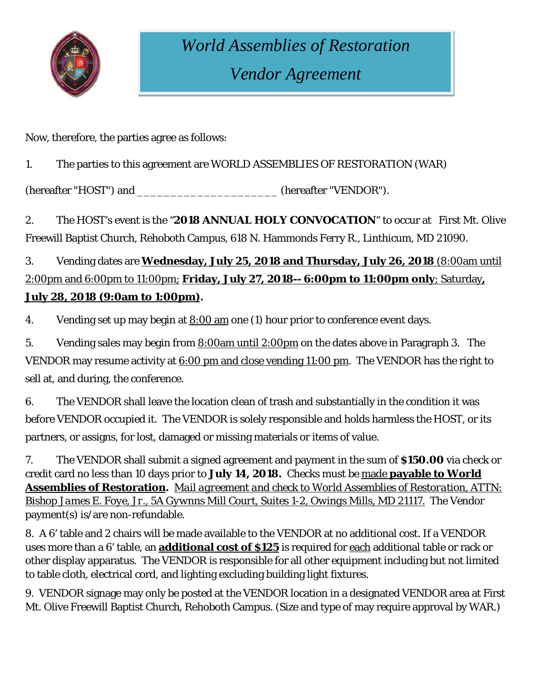

## *World Assemblies of Restoration Vendor Agreement*

Now, therefore, the parties agree as follows:

1. The parties to this agreement are WORLD ASSEMBLIES OF RESTORATION (WAR)

(hereafter "HOST") and \_\_\_\_\_\_\_\_\_\_\_\_\_\_\_\_\_\_\_\_\_ (hereafter "VENDOR").

2. The HOST's event is the "**2018 ANNUAL HOLY CONVOCATION**" to occur at First Mt. Olive Freewill Baptist Church, Rehoboth Campus, 618 N. Hammonds Ferry R., Linthicum, MD 21090.

## 3. Vending dates are **Wednesday, July 25, 2018 and Thursday, July 26, 2018** (8:00am until 2:00pm and 6:00pm to 11:00pm; **Friday, July 27, 2018-- 6:00pm to 11:00pm only**; Saturday**, July 28, 2018 (9:0am to 1:00pm).**

4. Vending set up may begin at  $8:00$  am one (1) hour prior to conference event days.

5. Vending sales may begin from 8:00am until 2:00pm on the dates above in Paragraph 3. The VENDOR may resume activity at  $6:00$  pm and close vending 11:00 pm. The VENDOR has the right to sell at, and during, the conference.

6. The VENDOR shall leave the location clean of trash and substantially in the condition it was before VENDOR occupied it. The VENDOR is solely responsible and holds harmless the HOST, or its partners, or assigns, for lost, damaged or missing materials or items of value.

7. The VENDOR shall submit a signed agreement and payment in the sum of **\$150.00** via check or credit card no less than 10 days prior to **July 14, 2018.** Checks must be made **payable to World Assemblies of Restoration.** *Mail agreement and check to World Assemblies of Restoration, ATTN: Bishop James E. Foye, Jr., 5A Gywnns Mill Court, Suites 1-2, Owings Mills, MD 21117.* The Vendor payment(s) is/are non-refundable.

8. A 6' table and 2 chairs will be made available to the VENDOR at no additional cost. If a VENDOR uses more than a 6' table, an **additional cost of \$125** is required for each additional table or rack or other display apparatus. The VENDOR is responsible for all other equipment including but not limited to table cloth, electrical cord, and lighting excluding building light fixtures.

9. VENDOR signage may only be posted at the VENDOR location in a designated VENDOR area at First Mt. Olive Freewill Baptist Church, Rehoboth Campus. (Size and type of may require approval by WAR.)